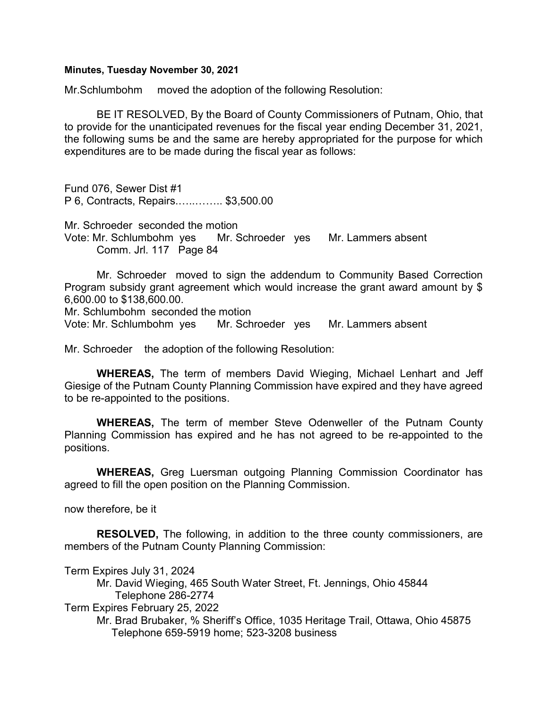## Minutes, Tuesday November 30, 2021

Mr.Schlumbohm moved the adoption of the following Resolution:

 BE IT RESOLVED, By the Board of County Commissioners of Putnam, Ohio, that to provide for the unanticipated revenues for the fiscal year ending December 31, 2021, the following sums be and the same are hereby appropriated for the purpose for which expenditures are to be made during the fiscal year as follows:

Fund 076, Sewer Dist #1 P 6, Contracts, Repairs.…..…….. \$3,500.00

Mr. Schroeder seconded the motion Vote: Mr. Schlumbohm yes Mr. Schroeder yes Mr. Lammers absent Comm. Jrl. 117 Page 84

Mr. Schroeder moved to sign the addendum to Community Based Correction Program subsidy grant agreement which would increase the grant award amount by \$ 6,600.00 to \$138,600.00. Mr. Schlumbohm seconded the motion

Vote: Mr. Schlumbohm yes Mr. Schroeder yes Mr. Lammers absent

Mr. Schroeder the adoption of the following Resolution:

WHEREAS, The term of members David Wieging, Michael Lenhart and Jeff Giesige of the Putnam County Planning Commission have expired and they have agreed to be re-appointed to the positions.

WHEREAS, The term of member Steve Odenweller of the Putnam County Planning Commission has expired and he has not agreed to be re-appointed to the positions.

WHEREAS, Greg Luersman outgoing Planning Commission Coordinator has agreed to fill the open position on the Planning Commission.

now therefore, be it

RESOLVED, The following, in addition to the three county commissioners, are members of the Putnam County Planning Commission:

Term Expires July 31, 2024

 Mr. David Wieging, 465 South Water Street, Ft. Jennings, Ohio 45844 Telephone 286-2774

Term Expires February 25, 2022

 Mr. Brad Brubaker, % Sheriff's Office, 1035 Heritage Trail, Ottawa, Ohio 45875 Telephone 659-5919 home; 523-3208 business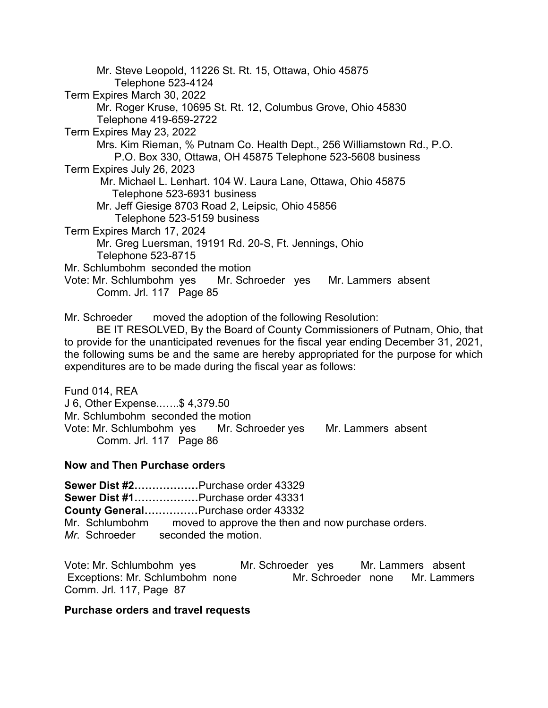Mr. Steve Leopold, 11226 St. Rt. 15, Ottawa, Ohio 45875 Telephone 523-4124 Term Expires March 30, 2022 Mr. Roger Kruse, 10695 St. Rt. 12, Columbus Grove, Ohio 45830 Telephone 419-659-2722 Term Expires May 23, 2022 Mrs. Kim Rieman, % Putnam Co. Health Dept., 256 Williamstown Rd., P.O. P.O. Box 330, Ottawa, OH 45875 Telephone 523-5608 business Term Expires July 26, 2023 Mr. Michael L. Lenhart. 104 W. Laura Lane, Ottawa, Ohio 45875 Telephone 523-6931 business Mr. Jeff Giesige 8703 Road 2, Leipsic, Ohio 45856 Telephone 523-5159 business Term Expires March 17, 2024 Mr. Greg Luersman, 19191 Rd. 20-S, Ft. Jennings, Ohio Telephone 523-8715 Mr. Schlumbohm seconded the motion Vote: Mr. Schlumbohm yes Mr. Schroeder yes Mr. Lammers absent Comm. Jrl. 117 Page 85

Mr. Schroeder moved the adoption of the following Resolution:

 BE IT RESOLVED, By the Board of County Commissioners of Putnam, Ohio, that to provide for the unanticipated revenues for the fiscal year ending December 31, 2021, the following sums be and the same are hereby appropriated for the purpose for which expenditures are to be made during the fiscal year as follows:

Fund 014, REA J 6, Other Expense..…..\$ 4,379.50 Mr. Schlumbohm seconded the motion Vote: Mr. Schlumbohm yes Mr. Schroeder yes Mr. Lammers absent Comm. Jrl. 117 Page 86

## Now and Then Purchase orders

Sewer Dist #2..................Purchase order 43329 Sewer Dist #1………………Purchase order 43331 County General……………Purchase order 43332 Mr. Schlumbohm moved to approve the then and now purchase orders. Mr. Schroeder seconded the motion.

Vote: Mr. Schlumbohm yes Mr. Schroeder yes Mr. Lammers absent Exceptions: Mr. Schlumbohm none Mr. Schroeder none Mr. Lammers Comm. Jrl. 117, Page 87

## Purchase orders and travel requests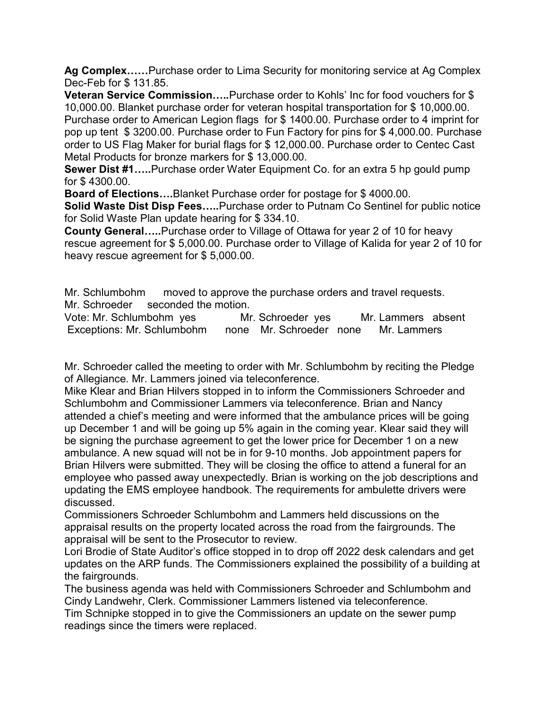Ag Complex……Purchase order to Lima Security for monitoring service at Ag Complex Dec-Feb for \$ 131.85.

Veteran Service Commission…..Purchase order to Kohls' Inc for food vouchers for \$ 10,000.00. Blanket purchase order for veteran hospital transportation for \$ 10,000.00. Purchase order to American Legion flags for \$ 1400.00. Purchase order to 4 imprint for pop up tent \$ 3200.00. Purchase order to Fun Factory for pins for \$ 4,000.00. Purchase order to US Flag Maker for burial flags for \$ 12,000.00. Purchase order to Centec Cast Metal Products for bronze markers for \$ 13,000.00.

Sewer Dist #1.....Purchase order Water Equipment Co. for an extra 5 hp gould pump for \$ 4300.00.

Board of Elections….Blanket Purchase order for postage for \$ 4000.00.

Solid Waste Dist Disp Fees…..Purchase order to Putnam Co Sentinel for public notice for Solid Waste Plan update hearing for \$ 334.10.

County General…..Purchase order to Village of Ottawa for year 2 of 10 for heavy rescue agreement for \$ 5,000.00. Purchase order to Village of Kalida for year 2 of 10 for heavy rescue agreement for \$ 5,000.00.

Mr. Schlumbohm moved to approve the purchase orders and travel requests. Mr. Schroeder seconded the motion.

Vote: Mr. Schlumbohm yes Mr. Schroeder yes Mr. Lammers absent Exceptions: Mr. Schlumbohm none Mr. Schroeder none Mr. Lammers

Mr. Schroeder called the meeting to order with Mr. Schlumbohm by reciting the Pledge of Allegiance. Mr. Lammers joined via teleconference.

Mike Klear and Brian Hilvers stopped in to inform the Commissioners Schroeder and Schlumbohm and Commissioner Lammers via teleconference. Brian and Nancy attended a chief's meeting and were informed that the ambulance prices will be going up December 1 and will be going up 5% again in the coming year. Klear said they will be signing the purchase agreement to get the lower price for December 1 on a new ambulance. A new squad will not be in for 9-10 months. Job appointment papers for Brian Hilvers were submitted. They will be closing the office to attend a funeral for an employee who passed away unexpectedly. Brian is working on the job descriptions and updating the EMS employee handbook. The requirements for ambulette drivers were discussed.

Commissioners Schroeder Schlumbohm and Lammers held discussions on the appraisal results on the property located across the road from the fairgrounds. The appraisal will be sent to the Prosecutor to review.

Lori Brodie of State Auditor's office stopped in to drop off 2022 desk calendars and get updates on the ARP funds. The Commissioners explained the possibility of a building at the fairgrounds.

The business agenda was held with Commissioners Schroeder and Schlumbohm and Cindy Landwehr, Clerk. Commissioner Lammers listened via teleconference.

Tim Schnipke stopped in to give the Commissioners an update on the sewer pump readings since the timers were replaced.